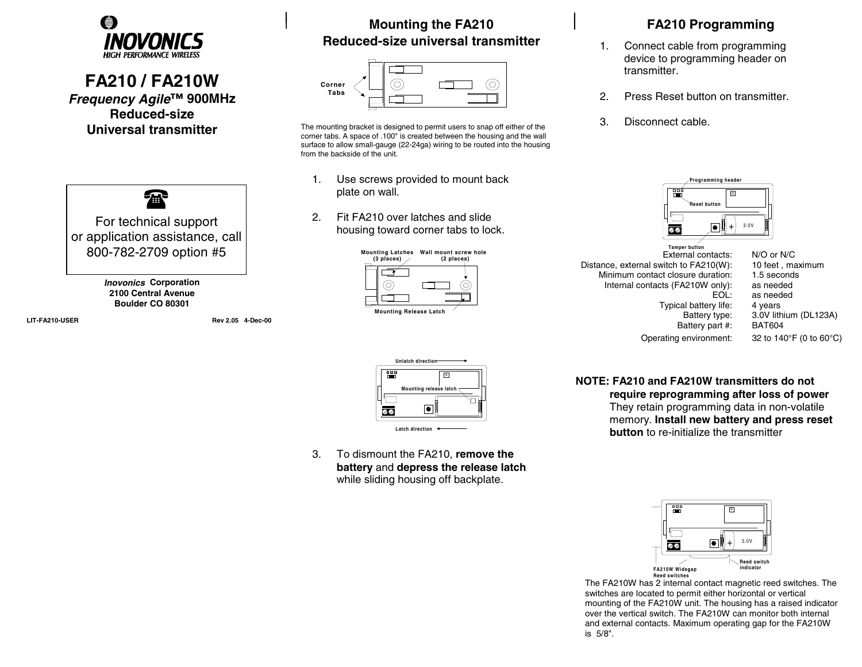

## **FA210 / FA210W**  *Frequency Agile***™ 900MHz Reduced-size Universal transmitter**



**LIT-FA210-USER Rev 2.05 4-Dec-00**

## **Mounting the FA210 Reduced-size universal transmitter**

| Corner<br>Tabs |  |  |  |
|----------------|--|--|--|
|                |  |  |  |
|                |  |  |  |
|                |  |  |  |

The mounting bracket is designed to permit users to snap off either of the corner tabs. A space of .100" is created between the housing and the wall surface to allow small-gauge (22-24ga) wiring to be routed into the housing from the backside of the unit.

- 1. Use screws provided to mount back plate on wall.
- 2. Fit FA210 over latches and slide housing toward corner tabs to lock.





3. To dismount the FA210, **remove the battery** and **depress the release latch** while sliding housing off backplate.

## **FA210 Programming**

- 1. Connect cable from programming device to programming header on transmitter.
- 2. Press Reset button on transmitter.
- 3. Disconnect cable.



Operating environment: 32 to 140°F (0 to 60°C)

**NOTE: FA210 and FA210W transmitters do not require reprogramming after loss of power** They retain programming data in non-volatile memory. **Install new battery and press reset button** to re-initialize the transmitter



 The FA210W has 2 internal contact magnetic reed switches. The switches are located to permit either horizontal or vertical mounting of the FA210W unit. The housing has a raised indicator over the vertical switch. The FA210W can monitor both internal and external contacts. Maximum operating gap for the FA210W is 5/8".